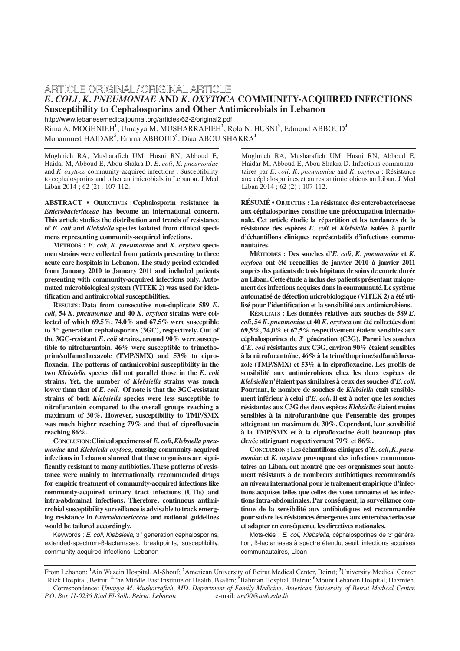# ARTICLE ORIGINAL/ORIGINAL ARTICLE *E. COLI, K. PNEUMONIAE* **AND** *K. OXYTOCA* **COMMUNITY-ACQUIRED INFECTIONS Susceptibility to Cephalosporins and Other Antimicrobials in Lebanon**

http://www.lebanesemedicaljournal.org/articles/62-2/original2.pdf Rima A. MOGHNIEH**<sup>1</sup>** , Umayya M. MUSHARRAFIEH**<sup>2</sup>** , Rola N. HUSNI**<sup>3</sup>** , Edmond ABBOUD**<sup>4</sup>** Mohammed HAIDAR**<sup>5</sup>** , Emma ABBOUD**<sup>6</sup>** , Diaa ABOU SHAKRA**<sup>1</sup>**

Moghnieh RA, Musharafieh UM, Husni RN, Abboud E, Haidar M, Abboud E, Abou Shakra D. *E. coli, K. pneumoniae* and *K. oxytoca* community-acquired infections : Susceptibility to cephalosporins and other antimicrobials in Lebanon. J Med Liban 2014 ; 62 (2) : 107-112.

**ABSTRACT • OBJECTIVES : Cephalosporin resistance in**  *Enterobacteriaceae* **has become an international concern. This article studies the distribution and trends of resistance of** *E. coli* **and** *Klebsiella* **species isolated from clinical specimens representing community-acquired infections.** 

**METHODS :** *E. coli***,** *K. pneumoniae* **and** *K. oxytoca* **specimen strains were collected from patients presenting to three acute care hospitals in Lebanon. The study period extended from January 2010 to January 2011 and included patients presenting with community-acquired infections only. Automated microbiological system (VITEK 2) was used for identification and antimicrobial susceptibilities.** 

**RESULTS : Data from consecutive non-duplicate 589** *E. coli***, 54** *K. pneumoniae* **and 40** *K. oxytoca* **strains were collected of which 69.5%, 74.0% and 67.5% were susceptible to 3rd generation cephalosporins (3GC), respectively. Out of the 3GC-resistant** *E. coli* **strains, around 90% were susceptible to nitrofurantoin, 46% were susceptible to trimethoprim/sulfamethoxazole (TMP/SMX) and 53% to ciprofloxacin. The patterns of antimicrobial susceptibility in the two** *Klebsiella* **species did not parallel those in the** *E. coli* **strains. Yet, the number of** *Klebsiella* **strains was much lower than that of** *E. coli.* **Of note is that the 3GC-resistant strains of both** *Klebsiella* **species were less susceptible to nitrofurantoin compared to the overall groups reaching a maximum of 30%. However, susceptibility to TMP/SMX was much higher reaching 79% and that of ciprofloxacin reaching 86%.** 

**CONCLUSION: Clinical specimens of** *E. coli***,** *Klebsiella pneumoniae* **and** *Klebsiella oxytoca,* **causing community-acquired infections in Lebanon showed that these organisms are significantly resistant to many antibiotics. These patterns of resistance were mainly to internationally recommended drugs for empiric treatment of community-acquired infections like community-acquired urinary tract infections (UTIs) and intra-abdominal infections. Therefore, continuous antimicrobial susceptibility surveillance is advisable to track emerging resistance in** *Enterobacteriaceae* **and national guidelines would be tailored accordingly.**

Keywords : E. coli, Klebsiella, 3<sup>rd</sup> generation cephalosporins, extended-spectrum-ß-lactamases, breakpoints, susceptibility, community-acquired infections, Lebanon

Moghnieh RA, Musharafieh UM, Husni RN, Abboud E, Haidar M, Abboud E, Abou Shakra D. Infections communautaires par *E. coli, K. pneumoniae* and *K. oxytoca* : Résistance aux céphalosporines et autres antimicrobiens au Liban. J Med Liban 2014 ; 62 (2) : 107-112.

**RÉSUMÉ • OBJECTIFS : La résistance des enterobacteriaceae aux céphalosporines constitue une préoccupation internationale. Cet article étudie la répartition et les tendances de la résistance des espèces** *E. coli* **et** *Klebsiella* **isolées à partir d'échantillons cliniques représentatifs d'infections communautaires.**

**MÉTHODES : Des souches d'***E. coli***,** *K. pneumoniae* **et** *K. oxytoca* **ont été recueillies de janvier 2010 à janvier 2011 auprès des patients de trois hôpitaux de soins de courte durée au Liban. Cette étude a inclus des patients présentant uniquement des infections acquises dans la communauté. Le système automatisé de détection microbiologique (VITEK 2) a été utilisé pour l'identification et la sensibilité aux antimicrobiens.**

**RÉSULTATS : Les données relatives aux souches de 589** *E. coli***, 54** *K. pneumoniae* **et 40** *K. oxytoca* **ont été collectées dont 69,5%, 74,0% et 67,5% respectivement étaient sensibles aux céphalosporines de 3e génération (C3G). Parmi les souches d'***E. coli* **résistantes aux C3G, environ 90% étaient sensibles à la nitrofurantoïne, 46% à la triméthoprime/sulfaméthoxazole (TMP/SMX) et 53% à la ciprofloxacine. Les profils de sensibilité aux antimicrobiens chez les deux espèces de** *Klebsiella* **n'étaient pas similaires à ceux des souches d'***E. coli***. Pourtant, le nombre de souches de** *Klebsiella* **était sensiblement inférieur à celui d'***E. coli***. Il est à noter que les souches résistantes aux C3G des deux espèces** *Klebsiella* **étaient moins sensibles à la nitrofurantoïne que l'ensemble des groupes atteignant un maximum de 30%. Cependant, leur sensibilité à la TMP/SMX et à la ciprofloxacine était beaucoup plus élevée atteignant respectivement 79% et 86%.**

**CONCLUSION : Les échantillons cliniques d'***E. coli***,** *K. pneumonia***e et** *K. oxytoca* **provoquant des infections communautaires au Liban, ont montré que ces organismes sont hautement résistants à de nombreux antibiotiques recommandés au niveau international pour le traitement empirique d'infections acquises telles que celles des voies urinaires et les infections intra-abdominales. Par conséquent, la surveillance continue de la sensibilité aux antibiotiques est recommandée pour suivre les résistances émergentes aux enterobacteriaceae et adapter en conséquence les directives nationales.**

Mots-clés : E. coli, Klebsiella, céphalosporines de 3<sup>e</sup> génération, ß-lactamases à spectre étendu, seuil, infections acquises communautaires, Liban

From Lebanon: **<sup>1</sup>** Ain Wazein Hospital, Al-Shouf; **<sup>2</sup>** American University of Beirut Medical Center, Beirut; **<sup>3</sup>** University Medical Center Rizk Hospital, Beirut; **<sup>4</sup>** The Middle East Institute of Health, Bsalim; **<sup>5</sup>** Bahman Hospital, Beirut; **<sup>6</sup>** Mount Lebanon Hospital, Hazmieh. Correspondence: *Umayya M. Musharrafieh, MD. Department of Family Medicine. American University of Beirut Medical Center. P.O. Box 11-0236 Riad El-Solh. Beirut. Lebanon* e-mail: *um00@aub.edu.lb*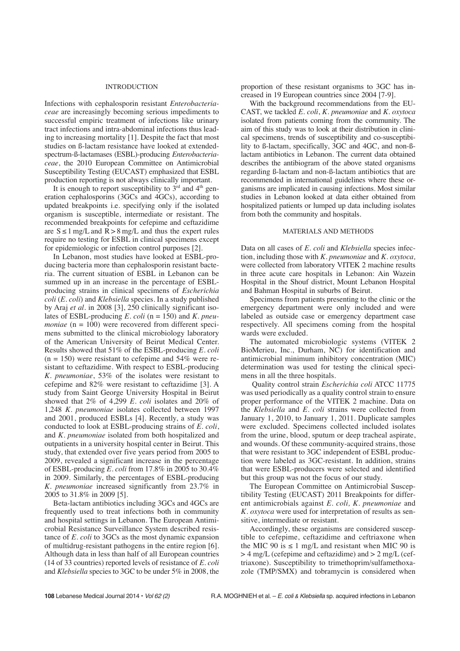#### INTRODUCTION

Infections with cephalosporin resistant *Enterobacteriaceae* are increasingly becoming serious impediments to successful empiric treatment of infections like urinary tract infections and intra-abdominal infections thus leading to increasing mortality [1]. Despite the fact that most studies on ß-lactam resistance have looked at extendedspectrum-ß-lactamases (ESBL)-producing *Enterobacteriaceae*, the 2010 European Committee on Antimicrobial Susceptibility Testing (EUCAST) emphasized that ESBL production reporting is not always clinically important.

It is enough to report susceptibility to  $3<sup>rd</sup>$  and  $4<sup>th</sup>$  generation cephalosporins (3GCs and 4GCs), according to updated breakpoints i.e. specifying only if the isolated organism is susceptible, intermediate or resistant. The recommended breakpoints for cefepime and ceftazidime are  $S \le 1$  mg/L and  $R > 8$  mg/L and thus the expert rules require no testing for ESBL in clinical specimens except for epidemiologic or infection control purposes [2].

In Lebanon, most studies have looked at ESBL-producing bacteria more than cephalosporin resistant bacteria. The current situation of ESBL in Lebanon can be summed up in an increase in the percentage of ESBLproducing strains in clinical specimens of *Escherichia coli* (*E. coli*) and *Klebsiella* species. In a study published by Araj *et al.* in 2008 [3], 250 clinically significant isolates of ESBL-producing *E. coli* (n = 150) and *K. pneumoniae* (n = 100) were recovered from different specimens submitted to the clinical microbiology laboratory of the American University of Beirut Medical Center. Results showed that 51% of the ESBL-producing *E. coli*  $(n = 150)$  were resistant to cefepime and 54% were resistant to ceftazidime. With respect to ESBL-producing *K. pneumoniae*, 53% of the isolates were resistant to cefepime and 82% were resistant to ceftazidime [3]. A study from Saint George University Hospital in Beirut showed that 2% of 4,299 *E. coli* isolates and 20% of 1,248 *K. pneumoniae* isolates collected between 1997 and 2001, produced ESBLs [4]. Recently, a study was conducted to look at ESBL-producing strains of *E. coli*, and *K. pneumoniae* isolated from both hospitalized and outpatients in a university hospital center in Beirut. This study, that extended over five years period from 2005 to 2009, revealed a significant increase in the percentage of ESBL-producing *E. coli* from 17.8% in 2005 to 30.4% in 2009. Similarly, the percentages of ESBL-producing *K. pneumoniae* increased significantly from 23.7% in 2005 to 31.8% in 2009 [5].

Beta-lactam antibiotics including 3GCs and 4GCs are frequently used to treat infections both in community and hospital settings in Lebanon. The European Antimicrobial Resistance Surveillance System described resistance of *E. coli* to 3GCs as the most dynamic expansion of multidrug-resistant pathogens in the entire region [6]. Although data in less than half of all European countries (14 of 33 countries) reported levels of resistance of *E. coli* and *Klebsiella* species to 3GC to be under 5% in 2008, the proportion of these resistant organisms to 3GC has increased in 19 European countries since 2004 [7-9].

With the background recommendations from the EU-CAST, we tackled *E. coli*, *K. pneumoniae* and *K. oxytoca* isolated from patients coming from the community. The aim of this study was to look at their distribution in clinical specimens, trends of susceptibility and co-susceptibility to ß-lactam, specifically, 3GC and 4GC, and non-ßlactam antibiotics in Lebanon. The current data obtained describes the antibiogram of the above stated organisms regarding ß-lactam and non-ß-lactam antibiotics that are recommended in international guidelines where these organisms are implicated in causing infections. Most similar studies in Lebanon looked at data either obtained from hospitalized patients or lumped up data including isolates from both the community and hospitals.

## MATERIALS AND METHODS

Data on all cases of *E. coli* and *Klebsiella* species infection, including those with *K. pneumoniae* and *K. oxytoca,* were collected from laboratory VITEK 2 machine results in three acute care hospitals in Lebanon: Ain Wazein Hospital in the Shouf district, Mount Lebanon Hospital and Bahman Hospital in suburbs of Beirut.

Specimens from patients presenting to the clinic or the emergency department were only included and were labeled as outside case or emergency department case respectively. All specimens coming from the hospital wards were excluded.

The automated microbiologic systems (VITEK 2 BioMerieu, Inc., Durham, NC) for identification and antimicrobial minimum inhibitory concentration (MIC) determination was used for testing the clinical specimens in all the three hospitals.

Quality control strain *Escherichia coli* ATCC 11775 was used periodically as a quality control strain to ensure proper performance of the VITEK 2 machine. Data on the *Klebsiella* and *E. coli* strains were collected from January 1, 2010, to January 1, 2011. Duplicate samples were excluded. Specimens collected included isolates from the urine, blood, sputum or deep tracheal aspirate, and wounds. Of these community-acquired strains, those that were resistant to 3GC independent of ESBL production were labeled as 3GC-resistant. In addition, strains that were ESBL-producers were selected and identified but this group was not the focus of our study.

The European Committee on Antimicrobial Susceptibility Testing (EUCAST) 2011 Breakpoints for different antimicrobials against *E. coli, K. pneumoniae* and *K. oxytoca* were used for interpretation of results as sensitive, intermediate or resistant.

Accordingly, these organisms are considered susceptible to cefepime, ceftazidime and ceftriaxone when the MIC 90 is  $\leq 1$  mg/L and resistant when MIC 90 is > 4 mg/L (cefepime and ceftazidime) and > 2 mg/L (ceftriaxone). Susceptibility to trimethoprim/sulfamethoxazole (TMP/SMX) and tobramycin is considered when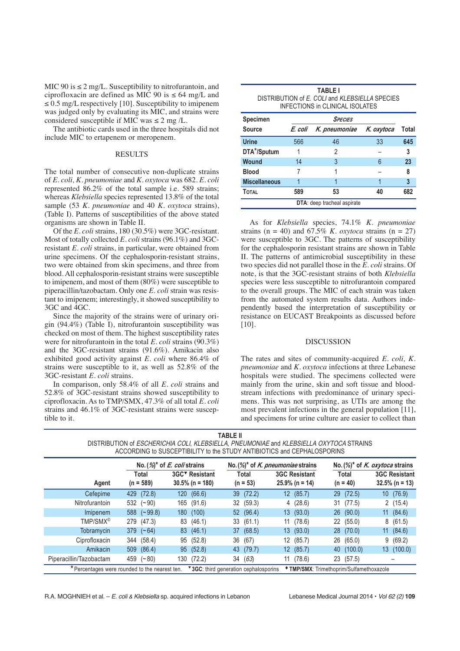MIC 90 is  $\leq 2$  mg/L. Susceptibility to nitrofurantoin, and ciprofloxacin are defined as MIC 90 is  $\leq 64$  mg/L and  $\leq$  0.5 mg/L respectively [10]. Susceptibility to imipenem was judged only by evaluating its MIC, and strains were considered susceptible if MIC was  $\leq 2$  mg/L.

The antibiotic cards used in the three hospitals did not include MIC to ertapenem or meropenem.

## RESULTS

The total number of consecutive non-duplicate strains of *E. coli, K. pneumoniae* and *K. oxytoca* was 682. *E. coli* represented 86.2% of the total sample i.e. 589 strains; whereas *Klebsiella* species represented 13.8% of the total sample (53 *K. pneumoniae* and 40 *K. oxytoca* strains), (Table I). Patterns of susceptibilities of the above stated organisms are shown in Table II.

Of the *E. coli* strains, 180 (30.5%) were 3GC-resistant. Most of totally collected *E. coli* strains (96.1%) and 3GCresistant *E. coli* strains, in particular, were obtained from urine specimens. Of the cephalosporin-resistant strains, two were obtained from skin specimens, and three from blood. All cephalosporin-resistant strains were susceptible to imipenem, and most of them (80%) were susceptible to piperacillin/tazobactam. Only one *E. coli* strain was resistant to imipenem; interestingly, it showed susceptibility to 3GC and 4GC.

Since the majority of the strains were of urinary origin (94.4%) (Table I), nitrofurantoin susceptibility was checked on most of them. The highest susceptibility rates were for nitrofurantoin in the total *E. coli* strains (90.3%) and the 3GC-resistant strains (91.6%). Amikacin also exhibited good activity against *E. coli* where 86.4% of strains were susceptible to it, as well as 52.8% of the 3GC-resistant *E. coli* strains.

In comparison, only 58.4% of all *E. coli* strains and 52.8% of 3GC-resistant strains showed susceptibility to ciprofloxacin. As to TMP/SMX, 47.3% of all total *E. coli* strains and 46.1% of 3GC-resistant strains were susceptible to it.

| <b>TABLE I</b>                                 |  |  |  |  |  |  |
|------------------------------------------------|--|--|--|--|--|--|
| DISTRIBUTION of E. COLI and KLEBSIELLA SPECIES |  |  |  |  |  |  |
| INFECTIONS in CLINICAL ISOLATES                |  |  |  |  |  |  |

| <b>Specimen</b>                    | <b>SPECIES</b> |               |            |       |  |  |  |  |
|------------------------------------|----------------|---------------|------------|-------|--|--|--|--|
| <b>Source</b>                      | E. coli        | K. pneumoniae | K. oxytoca | Total |  |  |  |  |
| <b>Urine</b>                       | 566            | 46            | 33         | 645   |  |  |  |  |
| DTA*/Sputum                        | 1              | 2             |            | 3     |  |  |  |  |
| <b>Wound</b>                       | 14             | 3             | 6          | 23    |  |  |  |  |
| <b>Blood</b>                       |                |               |            | 8     |  |  |  |  |
| <b>Miscellaneous</b>               |                |               |            | 3     |  |  |  |  |
| <b>TOTAL</b>                       | 589            | 53            | 40         | 682   |  |  |  |  |
| <b>DTA:</b> deep tracheal aspirate |                |               |            |       |  |  |  |  |

As for *Klebsiella* species, 74.1% *K. pneumoniae* strains ( $n = 40$ ) and 67.5% *K. oxytoca* strains ( $n = 27$ ) were susceptible to 3GC. The patterns of susceptibility for the cephalosporin resistant strains are shown in Table II. The patterns of antimicrobial susceptibility in these two species did not parallel those in the *E. coli* strains. Of note, is that the 3GC-resistant strains of both *Klebsiella* species were less susceptible to nitrofurantoin compared to the overall groups. The MIC of each strain was taken from the automated system results data. Authors independently based the interpretation of susceptibility or resistance on EUCAST Breakpoints as discussed before [10].

## DISCUSSION

The rates and sites of community-acquired *E. coli, K. pneumoniae* and *K. oxytoca* infections at three Lebanese hospitals were studied. The specimens collected were mainly from the urine, skin and soft tissue and bloodstream infections with predominance of urinary specimens. This was not surprising, as UTIs are among the most prevalent infections in the general population [11], and specimens for urine culture are easier to collect than

| DISTRIBUTION of ESCHERICHIA COLI, KLEBSIELLA, PNEUMONIAE and KLEBSIELLA OXYTOCA STRAINS<br>ACCORDING to SUSCEPTIBILITY to the STUDY ANTIBIOTICS and CEPHALOSPORINS |                                                |                                                  |                                        |                                           |                                                 |                                           |  |  |
|--------------------------------------------------------------------------------------------------------------------------------------------------------------------|------------------------------------------------|--------------------------------------------------|----------------------------------------|-------------------------------------------|-------------------------------------------------|-------------------------------------------|--|--|
|                                                                                                                                                                    | No. $(\mathcal{D}^*$ of <i>E. coli</i> strains |                                                  | No. (%)* of K. pneumoniae strains      |                                           | No. $(\%)^*$ of K. oxytoca strains              |                                           |  |  |
| Agent                                                                                                                                                              | Total<br>$(n = 589)$                           | 3GC <sup>▼</sup> Resistant<br>$30.5\%$ (n = 180) | Total<br>$(n = 53)$                    | <b>3GC Resistant</b><br>$25.9\%$ (n = 14) | <b>Total</b><br>$(n = 40)$                      | <b>3GC Resistant</b><br>$32.5\%$ (n = 13) |  |  |
| Cefepime                                                                                                                                                           | 429 (72.8)                                     | (66.6)<br>120                                    | 39 (72.2)                              | 12(85.7)                                  | 29 (72.5)                                       | 10(76.9)                                  |  |  |
| Nitrofurantoin                                                                                                                                                     | $532 (+90)$                                    | 165 (91.6)                                       | 32 (59.3)                              | (28.6)<br>4                               | 31 (77.5)                                       | 2(15.4)                                   |  |  |
| Imipenem                                                                                                                                                           | $588 \ (-99.8)$                                | (100)<br>180                                     | 52 (96.4)                              | 13(93.0)                                  | 26(90.0)                                        | 11(84.6)                                  |  |  |
| TMP/SMX <sup>©</sup>                                                                                                                                               | 279 (47.3)                                     | (46.1)<br>83                                     | 33(61.1)                               | (78.6)<br>11                              | 22 (55.0)                                       | 8(61.5)                                   |  |  |
| Tobramycin                                                                                                                                                         | $379 \ (-64)$                                  | 83 (46.1)                                        | 37 (68.5)                              | 13(93.0)                                  | 28(70.0)                                        | 11(84.6)                                  |  |  |
| Ciprofloxacin                                                                                                                                                      | 344 (58.4)                                     | (52.8)<br>95                                     | 36 (67)                                | (85.7)<br>12                              | (65.0)<br>26                                    | 9(69.2)                                   |  |  |
| Amikacin                                                                                                                                                           | 509 (86.4)                                     | (52.8)<br>95                                     | 43 (79.7)                              | 12(85.7)                                  | 40 (100.0)                                      | 13 (100.0)                                |  |  |
| Piperacillin/Tazobactam                                                                                                                                            | 459 $(-80)$                                    | (72.2)<br>130                                    | (63)<br>34                             | (78.6)<br>11                              | 23 (57.5)                                       |                                           |  |  |
| *Percentages were rounded to the nearest ten.                                                                                                                      |                                                |                                                  | ▼ 3GC: third generation cephalosporins |                                           | <b>* TMP/SMX: Trimethoprim/Sulfamethoxazole</b> |                                           |  |  |

**TABLE II**

R.A. MOGHNIEH et al. – E. coli & Klebsiella sp. acquired infections in Lebanon Lebanese Medical Journal 2014 • Vol 62 (2) **109**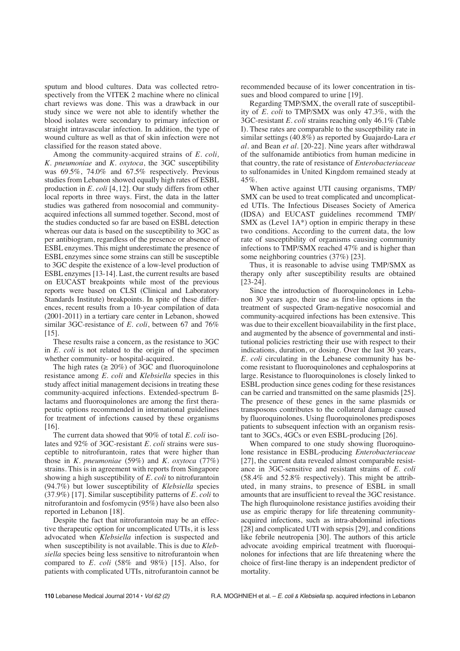sputum and blood cultures. Data was collected retrospectively from the VITEK 2 machine where no clinical chart reviews was done. This was a drawback in our study since we were not able to identify whether the blood isolates were secondary to primary infection or straight intravascular infection. In addition, the type of wound culture as well as that of skin infection were not classified for the reason stated above.

Among the community-acquired strains of *E. coli, K. pneumoniae* and *K. oxytoca*, the 3GC susceptibility was 69.5%, 74.0% and 67.5% respectively. Previous studies from Lebanon showed equally high rates of ESBL production in *E. coli* [4,12]. Our study differs from other local reports in three ways. First, the data in the latter studies was gathered from nosocomial and communityacquired infections all summed together. Second, most of the studies conducted so far are based on ESBL detection whereas our data is based on the susceptibility to 3GC as per antibiogram, regardless of the presence or absence of ESBL enzymes. This might underestimate the presence of ESBL enzymes since some strains can still be susceptible to 3GC despite the existence of a low-level production of ESBL enzymes [13-14]. Last, the current results are based on EUCAST breakpoints while most of the previous reports were based on CLSI (Clinical and Laboratory Standards Institute) breakpoints. In spite of these differences, recent results from a 10-year compilation of data (2001-2011) in a tertiary care center in Lebanon, showed similar 3GC-resistance of *E. coli*, between 67 and 76% [15].

These results raise a concern, as the resistance to 3GC in *E. coli* is not related to the origin of the specimen whether community- or hospital-acquired.

The high rates  $(\geq 20\%)$  of 3GC and fluoroquinolone resistance among *E. coli* and *Klebsiella* species in this study affect initial management decisions in treating these community-acquired infections. Extended-spectrum ßlactams and fluoroquinolones are among the first therapeutic options recommended in international guidelines for treatment of infections caused by these organisms [16].

The current data showed that 90% of total *E. coli* isolates and 92% of 3GC-resistant *E. coli* strains were susceptible to nitrofurantoin, rates that were higher than those in *K. pneumoniae* (59%) and *K. oxytoca* (77%) strains. This is in agreement with reports from Singapore showing a high susceptibility of *E. coli* to nitrofurantoin (94.7%) but lower susceptibility of *Klebsiella* species (37.9%) [17]. Similar susceptibility patterns of *E. coli* to nitrofurantoin and fosfomycin (95%) have also been also reported in Lebanon [18].

Despite the fact that nitrofurantoin may be an effective therapeutic option for uncomplicated UTIs, it is less advocated when *Klebsiella* infection is suspected and when susceptibility is not available. This is due to *Klebsiella* species being less sensitive to nitrofurantoin when compared to *E. coli* (58% and 98%) [15]. Also, for patients with complicated UTIs, nitrofurantoin cannot be

recommended because of its lower concentration in tissues and blood compared to urine [19].

Regarding TMP/SMX, the overall rate of susceptibility of *E. coli* to TMP/SMX was only 47.3%, with the 3GC-resistant *E. coli* strains reaching only 46.1% (Table I). These rates are comparable to the susceptbility rate in similar settings (40.8%) as reported by Guajardo-Lara *et al.* and Bean *et al.* [20-22]. Nine years after withdrawal of the sulfonamide antibiotics from human medicine in that country, the rate of resistance of *Enterobacteriaceae* to sulfonamides in United Kingdom remained steady at 45%.

When active against UTI causing organisms, TMP/ SMX can be used to treat complicated and uncomplicated UTIs. The Infectious Diseases Society of America (IDSA) and EUCAST guidelines recommend TMP/ SMX as (Level  $1A^*$ ) option in empiric therapy in these two conditions. According to the current data, the low rate of susceptibility of organisms causing community infections to TMP/SMX reached 47% and is higher than some neighboring countries (37%) [23].

Thus, it is reasonable to advise using TMP/SMX as therapy only after susceptibility results are obtained [23-24].

Since the introduction of fluoroquinolones in Lebanon 30 years ago, their use as first-line options in the treatment of suspected Gram-negative nosocomial and community-acquired infections has been extensive. This was due to their excellent bioavailability in the first place, and augmented by the absence of governmental and institutional policies restricting their use with respect to their indications, duration, or dosing. Over the last 30 years, *E. coli* circulating in the Lebanese community has become resistant to fluoroquinolones and cephalosporins at large. Resistance to fluoroquinolones is closely linked to ESBL production since genes coding for these resistances can be carried and transmitted on the same plasmids [25]. The presence of these genes in the same plasmids or transposons contributes to the collateral damage caused by fluoroquinolones. Using fluoroquinolones predisposes patients to subsequent infection with an organism resistant to 3GCs, 4GCs or even ESBL-producing [26].

When compared to one study showing fluoroquinolone resistance in ESBL-producing *Enterobacteriaceae* [27], the current data revealed almost comparable resistance in 3GC-sensitive and resistant strains of *E. coli* (58.4% and 52.8% respectively). This might be attributed, in many strains, to presence of ESBL in small amounts that are insufficient to reveal the 3GC resistance. The high fluroquinolone resistance justifies avoiding their use as empiric therapy for life threatening communityacquired infections, such as intra-abdominal infections [28] and complicated UTI with sepsis [29], and conditions like febrile neutropenia [30]. The authors of this article advocate avoiding empirical treatment with fluoroquinolones for infections that are life threatening where the choice of first-line therapy is an independent predictor of mortality.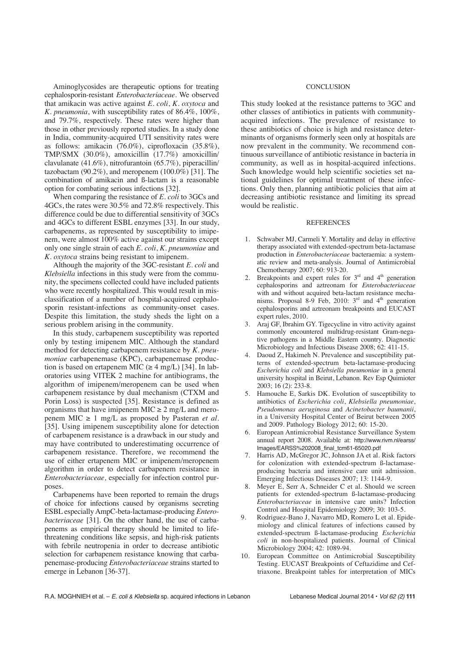Aminoglycosides are therapeutic options for treating cephalosporin-resistant *Enterobacteriaceae*. We observed that amikacin was active against *E. coli*, *K. oxytoca* and *K. pneumonia*, with susceptibility rates of 86.4%, 100%, and 79.7%, respectively. These rates were higher than those in other previously reported studies. In a study done in India, community-acquired UTI sensitivity rates were as follows: amikacin (76.0%), ciprofloxacin (35.8%), TMP/SMX (30.0%), amoxicillin (17.7%) amoxicillin/ clavulanate (41.6%), nitrofurantoin (65.7%), piperacillin/ tazobactam  $(90.2\%)$ , and meropenem  $(100.0\%)$  [31]. The combination of amikacin and ß-lactam is a reasonable option for combating serious infections [32].

When comparing the resistance of *E. coli* to 3GCs and 4GCs, the rates were 30.5% and 72.8% respectively. This difference could be due to differential sensitivity of 3GCs and 4GCs to different ESBL enzymes [33]. In our study, carbapenems, as represented by susceptibility to imipenem, were almost 100% active against our strains except only one single strain of each *E. coli*, *K. pneumoniae* and *K. oxytoca* strains being resistant to imipenem.

Although the majority of the 3GC-resistant *E. coli* and *Klebsiella* infections in this study were from the community, the specimens collected could have included patients who were recently hospitalized. This would result in misclassification of a number of hospital-acquired cephalosporin resistant-infections as community-onset cases. Despite this limitation, the study sheds the light on a serious problem arising in the community.

In this study, carbapenem susceptibility was reported only by testing imipenem MIC. Although the standard method for detecting carbapenem resistance by *K. pneumoniae* carbapenemase (KPC), carbapenemase production is based on ertapenem MIC ( $\geq 4$  mg/L) [34]. In laboratories using VITEK 2 machine for antibiograms, the algorithm of imipenem/meropenem can be used when carbapenem resistance by dual mechanism (CTXM and Porin Loss) is suspected [35]. Resistance is defined as organisms that have imipenem MIC  $\geq 2$  mg/L and meropenem MIC  $\geq 1$  mg/L as proposed by Pasteran *et al.* [35]. Using imipenem susceptibility alone for detection of carbapenem resistance is a drawback in our study and may have contributed to underestimating occurrence of carbapenem resistance. Therefore, we recommend the use of either ertapenem MIC or imipenem/meropenem algorithm in order to detect carbapenem resistance in *Enterobacteriaceae,* especially for infection control purposes.

Carbapenems have been reported to remain the drugs of choice for infections caused by organisms secreting ESBL especially AmpC-beta-lactamase-producing *Enterobacteriaceae* [31]. On the other hand, the use of carbapenems as empirical therapy should be limited to lifethreatening conditions like sepsis, and high-risk patients with febrile neutropenia in order to decrease antibiotic selection for carbapenem resistance knowing that carbapenemase-producing *Enterobacteriaceae* strains started to emerge in Lebanon [36-37].

#### **CONCLUSION**

This study looked at the resistance patterns to 3GC and other classes of antibiotics in patients with communityacquired infections. The prevalence of resistance to these antibiotics of choice is high and resistance determinants of organisms formerly seen only at hospitals are now prevalent in the community. We recommend continuous surveillance of antibiotic resistance in bacteria in community, as well as in hospital-acquired infections. Such knowledge would help scientific societies set national guidelines for optimal treatment of these infections. Only then, planning antibiotic policies that aim at decreasing antibiotic resistance and limiting its spread would be realistic.

#### **REFERENCES**

- 1. Schwaber MJ, Carmeli Y. Mortality and delay in effective therapy associated with extended-spectrum beta-lactamase production in *Enterobacteriaceae* bacteraemia: a systematic review and meta-analysis. Journal of Antimicrobial Chemotherapy 2007; 60: 913-20.
- Breakpoints and expert rules for  $3<sup>rd</sup>$  and  $4<sup>th</sup>$  generation cephalosporins and aztreonam for *Enterobacteriaceae* with and without acquired beta-lactam resistance mechanisms. Proposal 8-9 Feb, 2010:  $3<sup>rd</sup>$  and  $4<sup>th</sup>$  generation cephalosporins and aztreonam breakpoints and EUCAST expert rules, 2010.
- 3. Araj GF, Ibrahim GY. Tigecycline in vitro activity against commonly encountered multidrug-resistant Gram-negative pathogens in a Middle Eastern country. Diagnostic Microbiology and Infectious Disease 2008; 62: 411-15.
- 4. Daoud Z, Hakimeh N. Prevalence and susceptibility patterns of extended-spectrum beta-lactamase-producing *Escherichia coli* and *Klebsiella pneumoniae* in a general university hospital in Beirut, Lebanon. Rev Esp Quimioter 2003; 16 (2): 233-8.
- 5. Hamouche E, Sarkis DK. Evolution of susceptibility to antibiotics of *Escherichia coli*, *Klebsiella pneumoniae*, *Pseudomonas aeruginosa* and *Acinetobacter baumanii*, in a University Hospital Center of Beirut between 2005 and 2009. Pathology Biology 2012; 60: 15-20.
- 6. European Antimicrobial Resistance Surveillance System annual report 2008. Available at: http://www.rivm.nl/earss/ Images/EARSS%202008\_final\_tcm61-65020.pdf
- 7. Harris AD, McGregor JC, Johnson JA et al. Risk factors for colonization with extended-spectrum ß-lactamaseproducing bacteria and intensive care unit admission. Emerging Infectious Diseases 2007; 13: 1144-9.
- 8. Meyer E, Serr A, Schneider C et al. Should we screen patients for extended-spectrum ß-lactamase-producing *Enterobacteriaceae* in intensive care units? Infection Control and Hospital Epidemiology 2009; 30: 103-5.
- 9. Rodriguez-Bano J, Navarro MD, Romero L et al. Epidemiology and clinical features of infections caused by extended-spectrum ß-lactamase-producing *Escherichia coli* in non-hospitalized patients. Journal of Clinical Microbiology 2004; 42: 1089-94.
- 10. European Committee on Antimicrobial Susceptibility Testing. EUCAST Breakpoints of Ceftazidime and Ceftriaxone. Breakpoint tables for interpretation of MICs